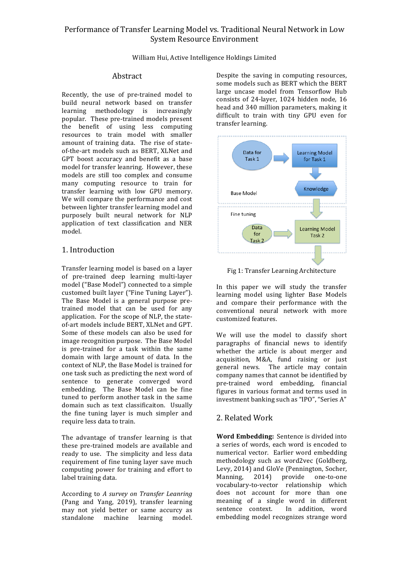## Performance of Transfer Learning Model vs. Traditional Neural Network in Low System Resource Environment

William Hui, Active Intelligence Holdings Limited

#### Abstract

Recently, the use of pre-trained model to build neural network based on transfer learning methodology is increasingly popular. These pre-trained models present the benefit of using less computing resources to train model with smaller amount of training data. The rise of stateof-the-art models such as BERT, XLNet and GPT boost accuracy and benefit as a base model for transfer leanring. However, these models are still too complex and consume many computing resource to train for transfer learning with low GPU memory. We will compare the performance and cost between lighter transfer learning model and purposely built neural network for NLP application of text classification and NER model.

## 1. Introduction

Transfer learning model is based on a layer of pre-trained deep learning multi-layer model ("Base Model") connected to a simple customed built layer ("Fine Tuning Layer"). The Base Model is a general purpose pretrained model that can be used for any application. For the scope of NLP, the stateof-art models include BERT, XLNet and GPT. Some of these models can also be used for image recognition purpose. The Base Model is pre-trained for a task within the same domain with large amount of data. In the context of NLP, the Base Model is trained for one task such as predicting the next word of sentence to generate converged word embedding. The Base Model can be fine tuned to perform another task in the same domain such as text classificaiton. Usually the fine tuning layer is much simpler and require less data to train.

The advantage of transfer learning is that these pre-trained models are available and ready to use. The simplicity and less data requirement of fine tuning layer save much computing power for training and effort to label training data.

According to *A survey on Transfer Leanring* (Pang and Yang, 2019), transfer learning may not yield better or same accurcy as standalone machine learning model. Despite the saving in computing resources, some models such as BERT which the BERT large uncase model from Tensorflow Hub consists of 24-layer, 1024 hidden node, 16 head and 340 million parameters, making it difficult to train with tiny GPU even for transfer learning.



Fig 1: Transfer Learning Architecture

In this paper we will study the transfer learning model using lighter Base Models and compare their performance with the conventional neural network with more customized features. 

We will use the model to classify short paragraphs of financial news to identify whether the article is about merger and acquisition, M&A, fund raising or just general news. The article may contain company names that cannot be identified by pre-trained word embedding, financial figures in various format and terms used in investment banking such as "IPO", "Series A"

# 2. Related Work

**Word Embedding:** Sentence is divided into a series of words, each word is encoded to numerical vector. Earlier word embedding methodology such as word2vec (Goldberg, Levy, 2014) and GloVe (Pennington, Socher, Manning, 2014) provide one-to-one vocabulary-to-vector relationship which does not account for more than one meaning of a single word in different sentence context. In addition, word embedding model recognizes strange word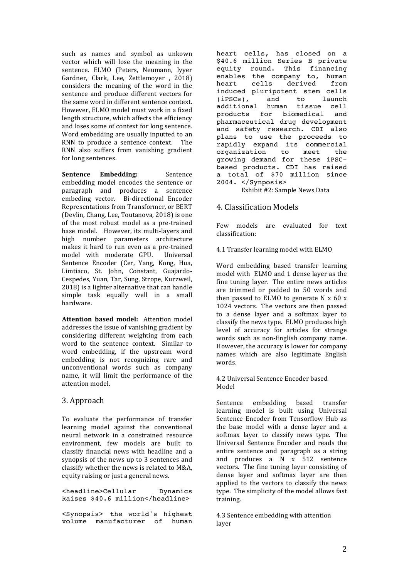such as names and symbol as unkown vector which will lose the meaning in the sentence. ELMO (Peters, Neumann, Iyyer Gardner, Clark, Lee, Zettlemoyer, 2018) considers the meaning of the word in the sentence and produce different vectors for the same word in different sentence context. However, ELMO model must work in a fixed length structure, which affects the efficiency and loses some of context for long sentence. Word embedding are usually inputted to an RNN to produce a sentence context. The RNN also suffers from vanishing gradient for long sentences.

**Sentence Embedding:** Sentence embedding model encodes the sentence or paragraph and produces a sentence embeding vector. Bi-directional Encoder Representations from Transformer, or BERT (Devlin, Chang, Lee, Toutanova, 2018) is one of the most robust model as a pre-trained base model. However, its multi-layers and high number parameters architecture makes it hard to run even as a pre-trained model with moderate GPU. Universal Sentence Encoder (Cer, Yang, Kong, Hua, Limtiaco, St. John, Constant, Guajardo-Cespedes, Yuan, Tar, Sung, Strope, Kurzweil, 2018) is a lighter alternative that can handle simple task equally well in a small hardware. 

**Attention based model:** Attention model addresses the issue of vanishing gradient by considering different weighting from each word to the sentence context. Similar to word embedding, if the upstream word embedding is not recognizing rare and unconventional words such as company name, it will limit the performance of the attention model.

#### 3. Approach

To evaluate the performance of transfer learning model against the conventional neural network in a constrained resource environment, few models are built to classify financial news with headline and a synopsis of the news up to 3 sentences and classify whether the news is related to M&A, equity raising or just a general news.

<headline>Cellular Dynamics Raises \$40.6 million</headline>

<Synopsis> the world's highest volume manufacturer of human

heart cells, has closed on a \$40.6 million Series B private equity round. This financing enables the company to, human<br>heart cells derived from heart cells derived induced pluripotent stem cells (iPSCs), and to launch additional human tissue cell products for biomedical and pharmaceutical drug development and safety research. CDI also plans to use the proceeds to rapidly expand its commercial organization to meet the growing demand for these iPSCbased products. CDI has raised a total of \$70 million since 2004. </Synposis>

Exhibit #2: Sample News Data

#### 4. Classification Models

Few models are evaluated for text classification:

4.1 Transfer learning model with ELMO

Word embedding based transfer learning model with ELMO and 1 dense layer as the fine tuning layer. The entire news articles are trimmed or padded to 50 words and then passed to ELMO to generate  $N \times 60 \times$ 1024 vectors. The vectors are then passed to a dense layer and a softmax layer to classify the news type. ELMO produces high level of accuracy for articles for strange words such as non-English company name. However, the accuracy is lower for company names which are also legitimate English words. 

4.2 Universal Sentence Encoder based Model

Sentence embedding based transfer learning model is built using Universal Sentence Encoder from Tensorflow Hub as the base model with a dense layer and a softmax layer to classify news type. The Universal Sentence Encoder and reads the entire sentence and paragraph as a string and produces a  $N \times 512$  sentence vectors. The fine tuning layer consisting of dense layer and softmax layer are then applied to the vectors to classify the news type. The simplicity of the model allows fast training. 

4.3 Sentence embedding with attention layer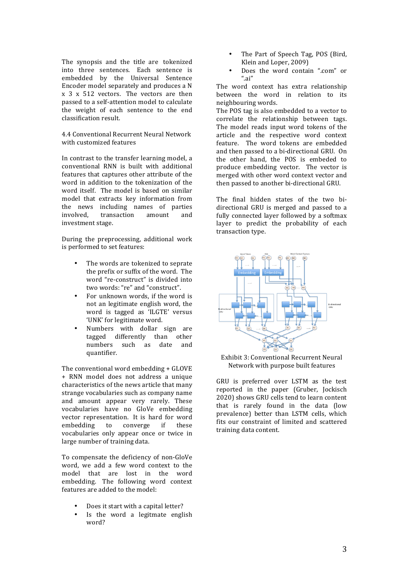The synopsis and the title are tokenized into three sentences. Each sentence is embedded by the Universal Sentence Encoder model separately and produces a N  $x$  3  $x$  512 vectors. The vectors are then passed to a self-attention model to calculate the weight of each sentence to the end classification result. 

4.4 Conventional Recurrent Neural Network with customized features

In contrast to the transfer learning model, a conventional RNN is built with additional features that captures other attribute of the word in addition to the tokenization of the word itself. The model is based on similar model that extracts key information from the news including names of parties involved, transaction amount and investment stage.

During the preprocessing, additional work is performed to set features:

- The words are tokenized to seprate the prefix or suffix of the word. The word "re-construct" is divided into two words: "re" and "construct".
- For unknown words, if the word is not an legitimate english word, the word is tagged as 'ILGTE' versus 'UNK' for legitimate word.
- Numbers with dollar sign are tagged differently than other numbers such as date and quantifier.

The conventional word embedding  $+$  GLOVE + RNN model does not address a unique characteristics of the news article that many strange vocabularies such as company name and amount appear very rarely. These vocabularies have no GloVe embedding vector representation. It is hard for word embedding to converge if these vocabularies only appear once or twice in large number of training data.

To compensate the deficiency of non-GloVe word, we add a few word context to the model that are lost in the word embedding. The following word context features are added to the model:

- Does it start with a capital letter?
- Is the word a legitmate english word?
- The Part of Speech Tag, POS (Bird, Klein and Loper, 2009)
- Does the word contain ".com" or ".ai"

The word context has extra relationship between the word in relation to its neighbouring words.

The POS tag is also embedded to a vector to correlate the relationship between tags. The model reads input word tokens of the article and the respective word context feature. The word tokens are embedded and then passed to a bi-directional GRU. On the other hand, the POS is embeded to produce embedding vector. The vector is merged with other word context vector and then passed to another bi-directional GRU.

The final hidden states of the two bidirectional GRU is merged and passed to a fully connected layer followed by a softmax layer to predict the probability of each transaction type.



Exhibit 3: Conventional Recurrent Neural Network with purpose built features

GRU is preferred over LSTM as the test reported in the paper (Gruber, Jockisch 2020) shows GRU cells tend to learn content that is rarely found in the data (low prevalence) better than LSTM cells, which fits our constraint of limited and scattered training data content.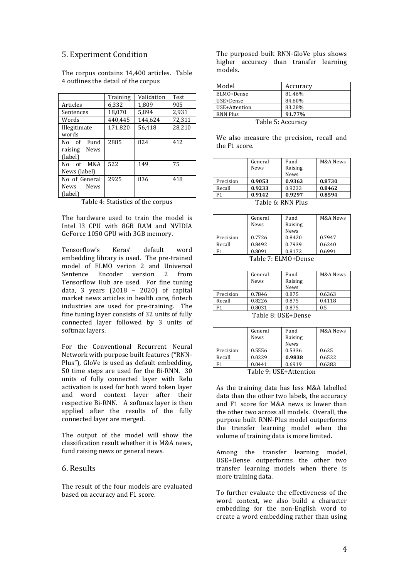#### 5. Experiment Condition

|                     | Training | Validation | Test   |
|---------------------|----------|------------|--------|
| Articles            | 6,332    | 1.809      | 905    |
| Sentences           | 18.070   | 5.894      | 2.931  |
| Words               | 440.445  | 144.624    | 72,311 |
| Illegitimate        | 171,820  | 56.418     | 28,210 |
| words               |          |            |        |
| No of<br>Fund       | 2885     | 824        | 412    |
| raising News        |          |            |        |
| (label)             |          |            |        |
| No of M&A           | 522      | 149        | 75     |
| News (label)        |          |            |        |
| No of General       | 2925     | 836        | 418    |
| <b>News</b><br>News |          |            |        |
| (label)             |          |            |        |

The corpus contains 14,400 articles. Table 4 outlines the detail of the corpus

Table 4: Statistics of the corpus

The hardware used to train the model is Intel I3 CPU with 8GB RAM and NVIDIA GeForce 1050 GPU with 3GB memory.

Tensorflow's Keras' default word embedding library is used. The pre-trained model of ELMO verion 2 and Universal<br>Sentence Encoder version 2 from Sentence Encoder version 2 from Tensorflow Hub are used. For fine tuning data, 3 years  $(2018 - 2020)$  of capital market news articles in health care, fintech industries are used for pre-training. The fine tuning layer consists of 32 units of fully connected layer followed by 3 units of softmax layers.

For the Conventional Recurrent Neural Network with purpose built features ("RNN-Plus"), GloVe is used as default embedding, 50 time steps are used for the Bi-RNN. 30 units of fully connected layer with Relu activation is used for both word token layer and word context layer after their respective Bi-RNN. A softmax layer is then applied after the results of the fully connected layer are merged.

The output of the model will show the classification result whether it is M&A news. fund raising news or general news.

### 6. Results

The result of the four models are evaluated based on accuracy and F1 score.

The purposed built RNN-GloVe plus shows higher accuracy than transfer learning models.

| Model                     | Accuracy |  |
|---------------------------|----------|--|
| ELMO+Dense                | 81.46%   |  |
| USE+Dense                 | 84.60%   |  |
| USE+Attention             | 83.28%   |  |
| 91.77%<br><b>RNN Plus</b> |          |  |
| Table 5: Accuracy         |          |  |

We also measure the precision, recall and the F1 score.

|                       | General     | Fund        | M&A News |
|-----------------------|-------------|-------------|----------|
|                       | <b>News</b> | Raising     |          |
|                       |             | <b>News</b> |          |
| Precision             | 0.9053      | 0.9363      | 0.8730   |
| Recall                | 0.9233      | 0.9233      | 0.8462   |
|                       | 0.9142      | 0.9297      | 0.8594   |
| $Table 6.$ DNM $D110$ |             |             |          |

Table 6: RNN Plus 

|                           | General<br><b>News</b> | Fund<br>Raising<br><b>News</b> | M&A News |
|---------------------------|------------------------|--------------------------------|----------|
| Precision                 | 0.7726                 | 0.8420                         | 0.7947   |
| Recall                    | 0.8492                 | 0.7939                         | 0.6240   |
| F1                        | 0.8091                 | 0.8172                         | 0.6991   |
| $Tab$ $Tc$ $Tc$ $Mc$ $Rc$ |                        |                                |          |

Table 7: ELMO+Dense

|               | General<br>News | Fund<br>Raising<br><b>News</b> | M&A News |
|---------------|-----------------|--------------------------------|----------|
| Precision     | 0.7846          | 0.875                          | 0.6363   |
| Recall        | 0.8226          | 0.875                          | 0.4118   |
| F1            | 0.8031          | 0.875                          | 0.5      |
| $T-1.1 - 0.1$ |                 |                                |          |

Table 8: USE+Dense

|           | General<br>News | Fund<br>Raising<br>News | M&A News |
|-----------|-----------------|-------------------------|----------|
| Precision | 0.5556          | 0.5336                  | 0.625    |
| Recall    | 0.0229          | 0.9838                  | 0.6522   |
| F1        | 0.0441          | 0.6919                  | 0.6383   |

Table 9: USE+Attention

As the training data has less M&A labelled  $data$  than the  $other$  two labels, the accuracy and F1 score for M&A news is lower than the other two across all models. Overall, the purpose built RNN-Plus model outperforms the transfer learning model when the volume of training data is more limited.

Among the transfer learning model, USE+Dense outperforms the other two transfer learning models when there is more training data.

To further evaluate the effectiveness of the word context, we also build a character embedding for the non-English word to create a word embedding rather than using